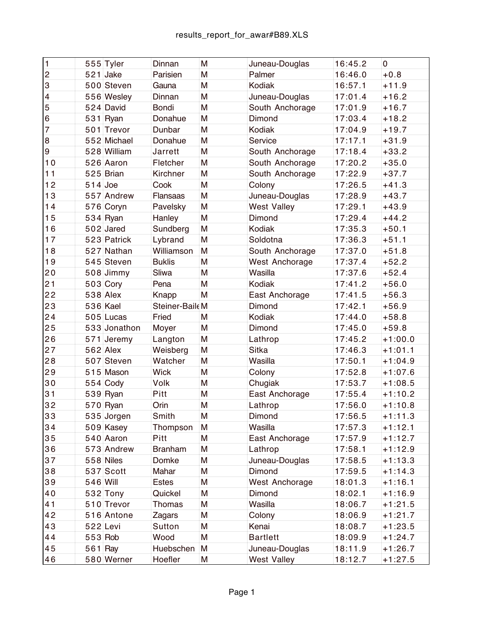| $\overline{1}$          |            | 555 Tyler    | Dinnan         | M | Juneau-Douglas     | 16:45.2 | $\overline{0}$ |
|-------------------------|------------|--------------|----------------|---|--------------------|---------|----------------|
| $\overline{2}$          |            | $521$ Jake   | Parisien       | M | Palmer             | 16:46.0 | $+0.8$         |
| 3                       |            | 500 Steven   | Gauna          | M | Kodiak             | 16:57.1 | $+11.9$        |
| $\overline{\mathbf{4}}$ |            | 556 Wesley   | Dinnan         | M | Juneau-Douglas     | 17:01.4 | $+16.2$        |
| $\overline{5}$          |            | $524$ David  | <b>Bondi</b>   | M | South Anchorage    | 17:01.9 | $+16.7$        |
| $\,$ 6                  |            | $531$ Ryan   | Donahue        | M | Dimond             | 17:03.4 | $+18.2$        |
| $\overline{7}$          |            | 501 Trevor   | Dunbar         | M | Kodiak             | 17:04.9 | $+19.7$        |
| $\bf 8$                 |            | 552 Michael  | Donahue        | M | Service            | 17:17.1 | $+31.9$        |
| $\boldsymbol{9}$        |            | 528 William  | Jarrett        | M | South Anchorage    | 17:18.4 | $+33.2$        |
| 10                      |            | 526 Aaron    | Fletcher       | M | South Anchorage    | 17:20.2 | $+35.0$        |
| 11                      |            | $525$ Brian  | Kirchner       | M | South Anchorage    | 17:22.9 | $+37.7$        |
| 12                      | $514$ Joe  |              | Cook           | M | Colony             | 17:26.5 | $+41.3$        |
| 13                      |            | 557 Andrew   | Flansaas       | M | Juneau-Douglas     | 17:28.9 | $+43.7$        |
| 14                      |            | 576 Coryn    | Pavelsky       | M | <b>West Valley</b> | 17:29.1 | $+43.9$        |
| 15                      |            | $534$ Ryan   | Hanley         | M | Dimond             | 17:29.4 | $+44.2$        |
| 16                      |            | $502$ Jared  | Sundberg       | M | Kodiak             | 17:35.3 | $+50.1$        |
| 17                      |            | 523 Patrick  | Lybrand        | M | Soldotna           | 17:36.3 | $+51.1$        |
| 18                      |            | 527 Nathan   | Williamson     | M | South Anchorage    | 17:37.0 | $+51.8$        |
| 19                      |            | 545 Steven   | <b>Buklis</b>  | M | West Anchorage     | 17:37.4 | $+52.2$        |
| 20                      |            | 508 Jimmy    | Sliwa          | M | Wasilla            | 17:37.6 | $+52.4$        |
| 21                      |            | $503$ Cory   | Pena           | M | Kodiak             | 17:41.2 | $+56.0$        |
| 22                      |            | $538$ Alex   | Knapp          | M | East Anchorage     | 17:41.5 | $+56.3$        |
| 23                      | $536$ Kael |              | Steiner-BaileM |   | Dimond             | 17:42.1 | $+56.9$        |
| 24                      |            | $505$ Lucas  | Fried          | M | Kodiak             | 17:44.0 | $+58.8$        |
| 25                      |            | 533 Jonathon | Moyer          | M | Dimond             | 17:45.0 | $+59.8$        |
| 26                      |            | $571$ Jeremy | Langton        | M | Lathrop            | 17:45.2 | $+1:00.0$      |
| 27                      |            | $562$ Alex   | Weisberg       | M | <b>Sitka</b>       | 17:46.3 | $+1:01.1$      |
| 28                      |            | 507 Steven   | Watcher        | M | Wasilla            | 17:50.1 | $+1:04.9$      |
| 29                      |            | 515 Mason    | <b>Wick</b>    | M | Colony             | 17:52.8 | $+1:07.6$      |
| 30                      |            | $554$ Cody   | Volk           | M | Chugiak            | 17:53.7 | $+1:08.5$      |
| 31                      |            | $539 R$ yan  | Pitt           | M | East Anchorage     | 17:55.4 | $+1:10.2$      |
| 32                      |            | $570$ Ryan   | Orin           | M | Lathrop            | 17:56.0 | $+1:10.8$      |
| 33                      |            | 535 Jorgen   | Smith          | M | Dimond             | 17:56.5 | $+1:11.3$      |
| 34                      |            | 509 Kasey    | Thompson       | M | Wasilla            | 17:57.3 | $+1:12.1$      |
| 35                      |            | $540$ Aaron  | Pitt           | M | East Anchorage     | 17:57.9 | $+1:12.7$      |
| 36                      |            | 573 Andrew   | <b>Branham</b> | M | Lathrop            | 17:58.1 | $+1:12.9$      |
| 37                      |            | $558$ Niles  | Domke          | M | Juneau-Douglas     | 17:58.5 | $+1:13.3$      |
| 38                      |            | $537$ Scott  | Mahar          | M | Dimond             | 17:59.5 | $+1:14.3$      |
| 39                      | $546$ Will |              | <b>Estes</b>   | M | West Anchorage     | 18:01.3 | $+1:16.1$      |
| 40                      |            | $532$ Tony   | Quickel        | M | Dimond             | 18:02.1 | $+1:16.9$      |
| 41                      |            | 510 Trevor   | Thomas         | M | Wasilla            | 18:06.7 | $+1:21.5$      |
| 42                      |            | 516 Antone   | Zagars         | M | Colony             | 18:06.9 | $+1:21.7$      |
| 43                      | $522$ Levi |              | Sutton         | M | Kenai              | 18:08.7 | $+1:23.5$      |
| 44                      | 553 Rob    |              | Wood           | M | <b>Bartlett</b>    | 18:09.9 | $+1:24.7$      |
| 45                      | $561$ Ray  |              | Huebschen      | M | Juneau-Douglas     | 18:11.9 | $+1:26.7$      |
| 46                      |            | 580 Werner   | Hoefler        | M | <b>West Valley</b> | 18:12.7 | $+1:27.5$      |